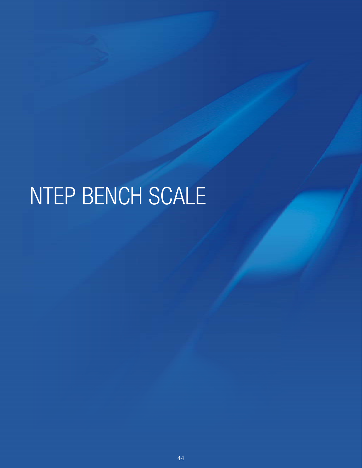# NTEP BENCH SCALE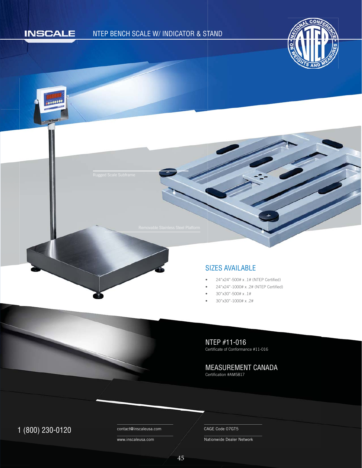### **INSCALE**

 $000000$ 

#### NTEP BENCH SCALE W/ INDICATOR & STAND





#### SIZES AVAILABLE S

- 24"x24"-500# x .1# (NTEP Certified) •
- 24"x24"-1000# x .2# (NTEP Certified) •
- 30"x30"-500# x .1# •
- 30"x30"-1000# x .2# •

## NTEP #11-016

Certificate of Conformance #11-016

MEASUREMENT CANADA

Certification #AM5817

## 1 (800) 230-0120 Contact@inscaleusa.com CAGE Code 07GT5

contact@inscaleusa.com

www.inscaleusa.com

Nationwide Dealer Network

45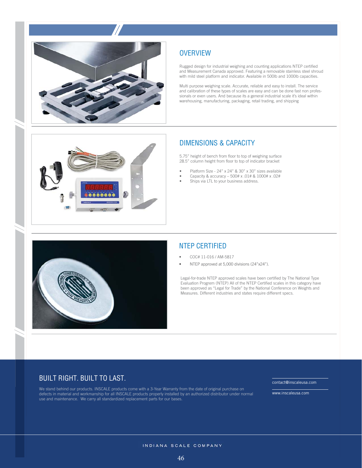

#### **OVERVIEW**

Rugged design for industrial weighing and counting applications NTEP certified and Measurement Canada approved. Featuring a removable stainless steel shroud with mild steel platform and indicator. Available in 500lb and 1000lb capacities.

Multi purpose weighing scale. Accurate, reliable and easy to install. The service and calibration of these types of scales are easy and can be done fast non professionals or even users. And because its a general industrial scale it's ideal within warehousing, manufacturing, packaging, retail trading, and shipping



#### DIMENSIONS & CAPACITY

5.75" height of bench from floor to top of weighing surface 28.5" column height from floor to top of indicator bracket

- Platform Size 24" x 24" & 30" x 30" sizes available
- Capacity & accuracy 500# x .01# & 1000# x .02#
- Ships via LTL to your business address.



### NTEP CERTIFIED

- COC# 11-016 / AM-5817
- NTEP approved at 5,000 divisions (24"x24").

Legal-for-trade NTEP approved scales have been certified by The National Type Evaluation Progrem (NTEP) All of the NTEP Certified scales in this category have been approved as "Legal for Trade" by the National Conference on Weights and Measures. Different industries and states require different specs.

#### BUILT RIGHT. BUILT TO LAST.

We stand behind our products. INSCALE products come with a 3-Year Warranty from the date of original purchase on defects in material and workmanship for all INSCALE products properly installed by an authorized distributor under normal use and maintenance. We carry all standardized replacement parts for our bases.

contact@inscaleusa.com

www.inscaleusa.com

INDIANA SCALE COMPANY